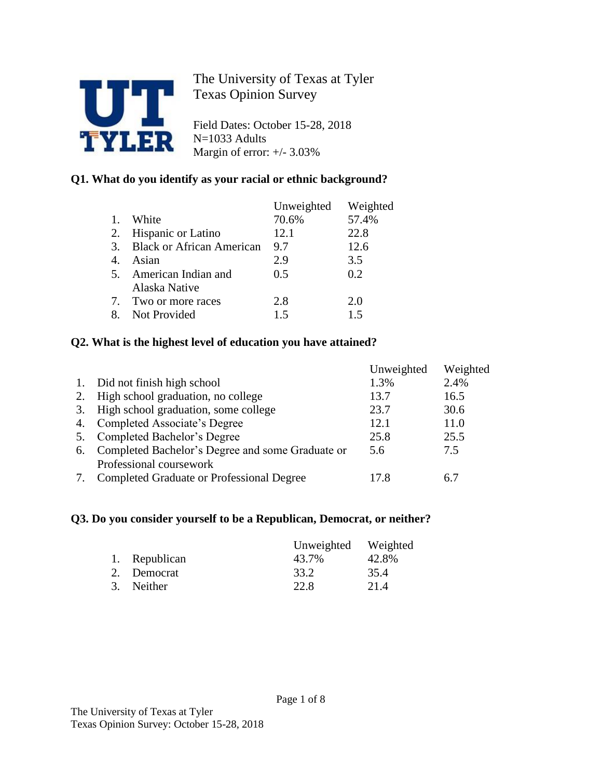

The University of Texas at Tyler Texas Opinion Survey

Field Dates: October 15-28, 2018 N=1033 Adults Margin of error: +/- 3.03%

## **Q1. What do you identify as your racial or ethnic background?**

|    |                                  | Unweighted | Weighted |
|----|----------------------------------|------------|----------|
|    | White                            | 70.6%      | 57.4%    |
|    | 2. Hispanic or Latino            | 12.1       | 22.8     |
| 3. | <b>Black or African American</b> | 9.7        | 12.6     |
| 4  | Asian                            | 2.9        | 3.5      |
|    | 5. American Indian and           | 0.5        | 0.2      |
|    | Alaska Native                    |            |          |
| 7. | Two or more races                | 2.8        | 2.0      |
|    | Not Provided                     | 15         | 15       |

## **Q2. What is the highest level of education you have attained?**

|    |                                                  | Unweighted | Weighted |
|----|--------------------------------------------------|------------|----------|
| 1. | Did not finish high school                       | 1.3%       | 2.4%     |
| 2. | High school graduation, no college               | 13.7       | 16.5     |
| 3. | High school graduation, some college             | 23.7       | 30.6     |
| 4. | Completed Associate's Degree                     | 12.1       | 11.0     |
| 5. | Completed Bachelor's Degree                      | 25.8       | 25.5     |
| 6. | Completed Bachelor's Degree and some Graduate or | 5.6        | 7.5      |
|    | Professional coursework                          |            |          |
|    | Completed Graduate or Professional Degree        | 17.8       | 6.7      |

## **Q3. Do you consider yourself to be a Republican, Democrat, or neither?**

|               | Unweighted Weighted |       |
|---------------|---------------------|-------|
| 1. Republican | 43.7%               | 42.8% |
| 2. Democrat   | 33.2                | 35.4  |
| 3. Neither    | 22.8                | 21.4  |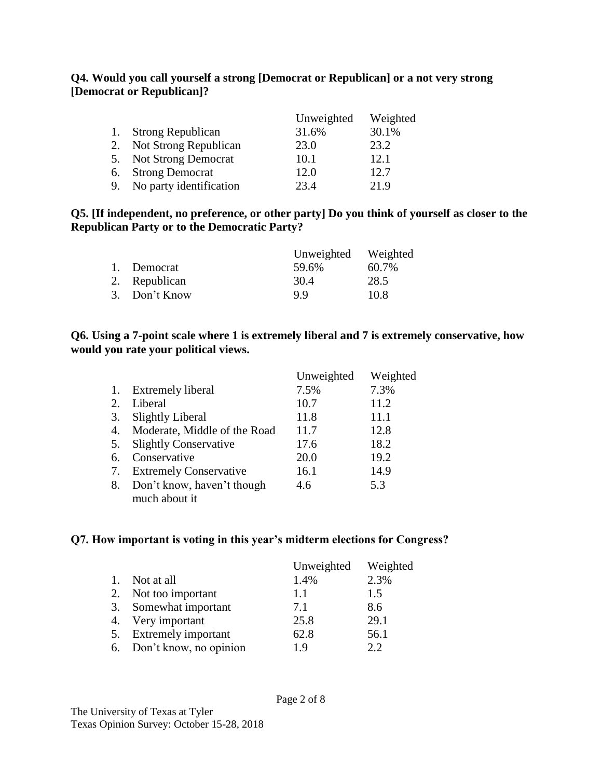### **Q4. Would you call yourself a strong [Democrat or Republican] or a not very strong [Democrat or Republican]?**

|    |                          | Unweighted | Weighted |
|----|--------------------------|------------|----------|
|    | <b>Strong Republican</b> | 31.6%      | 30.1%    |
|    | 2. Not Strong Republican | 23.0       | 23.2     |
|    | 5. Not Strong Democrat   | 10.1       | 12.1     |
| 6. | <b>Strong Democrat</b>   | 12.0       | 12.7     |
| 9. | No party identification  | 23.4       | 21.9     |

### **Q5. [If independent, no preference, or other party] Do you think of yourself as closer to the Republican Party or to the Democratic Party?**

|               | Unweighted Weighted |       |
|---------------|---------------------|-------|
| 1. Democrat   | 59.6%               | 60.7% |
| 2. Republican | 30.4                | 28.5  |
| 3. Don't Know | QQ                  | 10.8  |

### **Q6. Using a 7-point scale where 1 is extremely liberal and 7 is extremely conservative, how would you rate your political views.**

|    |                               | Unweighted | Weighted |
|----|-------------------------------|------------|----------|
| 1. | <b>Extremely liberal</b>      | 7.5%       | 7.3%     |
| 2. | Liberal                       | 10.7       | 11.2     |
| 3. | <b>Slightly Liberal</b>       | 11.8       | 11.1     |
| 4. | Moderate, Middle of the Road  | 11.7       | 12.8     |
| 5. | <b>Slightly Conservative</b>  | 17.6       | 18.2     |
| 6. | Conservative                  | 20.0       | 19.2     |
| 7. | <b>Extremely Conservative</b> | 16.1       | 14.9     |
| 8. | Don't know, haven't though    | 4.6        | 5.3      |
|    | much about it                 |            |          |

## **Q7. How important is voting in this year's midterm elections for Congress?**

|                  |                           | Unweighted | Weighted |
|------------------|---------------------------|------------|----------|
| $\overline{1}$ . | Not at all                | 1.4%       | 2.3%     |
|                  | 2. Not too important      | 1.1        | 1.5      |
|                  | 3. Somewhat important     | 7.1        | 8.6      |
|                  | 4. Very important         | 25.8       | 29.1     |
|                  | 5. Extremely important    | 62.8       | 56.1     |
|                  | 6. Don't know, no opinion | 19         | ? ?      |

The University of Texas at Tyler Texas Opinion Survey: October 15-28, 2018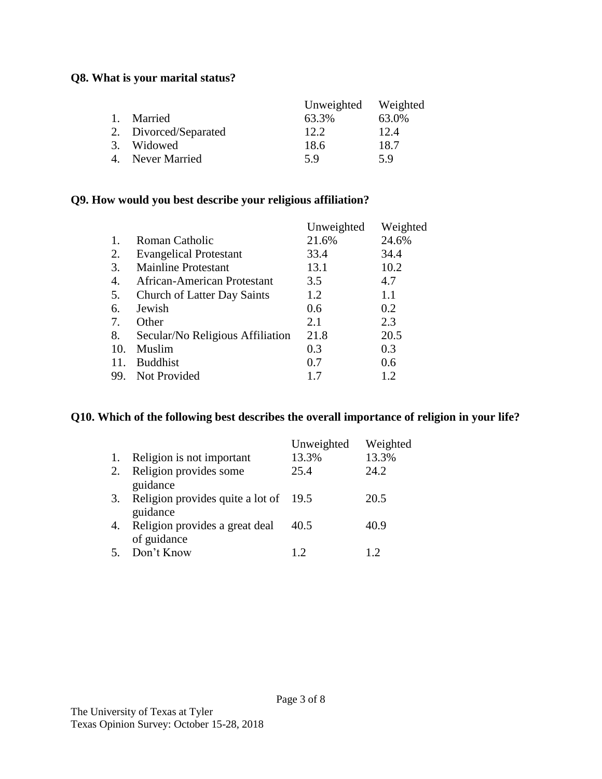## **Q8. What is your marital status?**

|                       | Unweighted Weighted |       |
|-----------------------|---------------------|-------|
| 1. Married            | 63.3%               | 63.0% |
| 2. Divorced/Separated | 12.2.               | 12.4  |
| 3. Widowed            | 18.6                | 18.7  |
| 4. Never Married      | 5 Q                 | 59    |

# **Q9. How would you best describe your religious affiliation?**

|                                    | Unweighted | Weighted |
|------------------------------------|------------|----------|
| Roman Catholic                     | 21.6%      | 24.6%    |
| <b>Evangelical Protestant</b>      | 33.4       | 34.4     |
| <b>Mainline Protestant</b>         | 13.1       | 10.2     |
| African-American Protestant        | 3.5        | 4.7      |
| <b>Church of Latter Day Saints</b> | 1.2        | 1.1      |
| Jewish                             | 0.6        | 0.2      |
| Other                              | 2.1        | 2.3      |
| Secular/No Religious Affiliation   | 21.8       | 20.5     |
| Muslim                             | 0.3        | 0.3      |
| <b>Buddhist</b>                    | 0.7        | 0.6      |
| Not Provided                       | 1.7        | 1.2      |
|                                    |            |          |

#### **Q10. Which of the following best describes the overall importance of religion in your life?**

|    |                                       | Unweighted | Weighted |
|----|---------------------------------------|------------|----------|
| 1. | Religion is not important             | 13.3%      | 13.3%    |
| 2. | Religion provides some                | 25.4       | 24.2     |
|    | guidance                              |            |          |
| 3. | Religion provides quite a lot of 19.5 |            | 20.5     |
|    | guidance                              |            |          |
| 4. | Religion provides a great deal        | 40.5       | 40.9     |
|    | of guidance                           |            |          |
| 5. | Don't Know                            | 19         | 12       |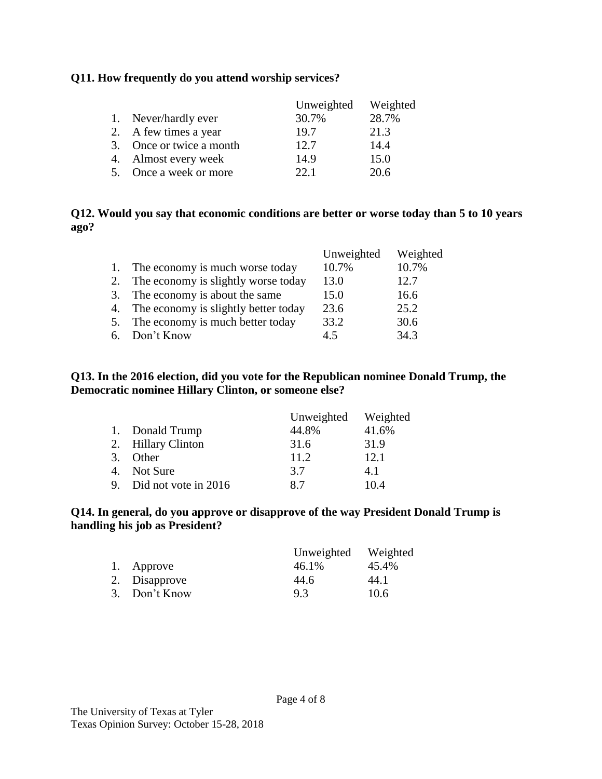### **Q11. How frequently do you attend worship services?**

|                          | Unweighted | Weighted |
|--------------------------|------------|----------|
| 1. Never/hardly ever     | 30.7%      | 28.7%    |
| 2. A few times a year    | 19.7       | 21.3     |
| 3. Once or twice a month | 12.7       | 14.4     |
| 4. Almost every week     | 14.9       | 15.0     |
| 5. Once a week or more   | 22.1       | 20.6     |

### **Q12. Would you say that economic conditions are better or worse today than 5 to 10 years ago?**

|    |                                      | Unweighted | Weighted |
|----|--------------------------------------|------------|----------|
|    | The economy is much worse today      | 10.7%      | 10.7%    |
| 2. | The economy is slightly worse today  | 13.0       | 12.7     |
| 3. | The economy is about the same        | 15.0       | 16.6     |
| 4. | The economy is slightly better today | 23.6       | 25.2     |
| 5. | The economy is much better today     | 33.2       | 30.6     |
|    | 6. Don't Know                        | 45         | 34.3     |

### **Q13. In the 2016 election, did you vote for the Republican nominee Donald Trump, the Democratic nominee Hillary Clinton, or someone else?**

|    |                         | Unweighted Weighted |       |
|----|-------------------------|---------------------|-------|
|    | 1. Donald Trump         | 44.8%               | 41.6% |
|    | 2. Hillary Clinton      | 31.6                | 31.9  |
| 3. | Other                   | 11.2                | 12.1  |
|    | 4. Not Sure             | 3.7                 | 4.1   |
|    | 9. Did not vote in 2016 | 87                  | 10.4  |

### **Q14. In general, do you approve or disapprove of the way President Donald Trump is handling his job as President?**

|               | Unweighted | Weighted |
|---------------|------------|----------|
| 1. Approve    | 46.1%      | 45.4%    |
| 2. Disapprove | 44.6       | 44.1     |
| 3. Don't Know | 9.3        | 10.6     |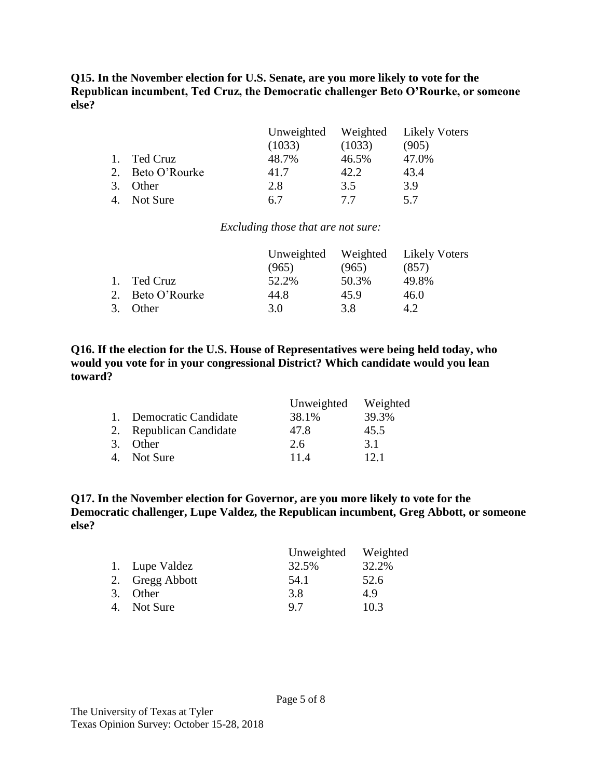**Q15. In the November election for U.S. Senate, are you more likely to vote for the Republican incumbent, Ted Cruz, the Democratic challenger Beto O'Rourke, or someone else?**

|                  | (1033) | (1033) | Unweighted Weighted Likely Voters<br>(905) |
|------------------|--------|--------|--------------------------------------------|
|                  |        |        |                                            |
| Ted Cruz         | 48.7%  | 46.5%  | 47.0%                                      |
| 2. Beto O'Rourke | 41.7   | 42.2   | 43.4                                       |
| Other            | 2.8    | 3.5    | 3.9                                        |
| Not Sure         | 6.7    | 77     | 5.7                                        |

*Excluding those that are not sure:*

|                  |       |       | Unweighted Weighted Likely Voters |
|------------------|-------|-------|-----------------------------------|
|                  | (965) | (965) | (857)                             |
| 1. Ted Cruz      | 52.2% | 50.3% | 49.8%                             |
| 2. Beto O'Rourke | 44.8  | 45.9  | 46.0                              |
| 3. Other         | 3.0   | 3.8   | 4.2                               |

**Q16. If the election for the U.S. House of Representatives were being held today, who would you vote for in your congressional District? Which candidate would you lean toward?**

|                         | Unweighted | Weighted |
|-------------------------|------------|----------|
| 1. Democratic Candidate | 38.1%      | 39.3%    |
| 2. Republican Candidate | 47.8       | 45.5     |
| 3. Other                | 2.6        | 3.1      |
| 4. Not Sure             | 11.4       | 12.1     |

**Q17. In the November election for Governor, are you more likely to vote for the Democratic challenger, Lupe Valdez, the Republican incumbent, Greg Abbott, or someone else?**

|                 | Unweighted | Weighted |
|-----------------|------------|----------|
| 1. Lupe Valdez  | 32.5%      | 32.2%    |
| 2. Gregg Abbott | 54.1       | 52.6     |
| 3. Other        | 3.8        | 4.9      |
| 4. Not Sure     | 97         | 10.3     |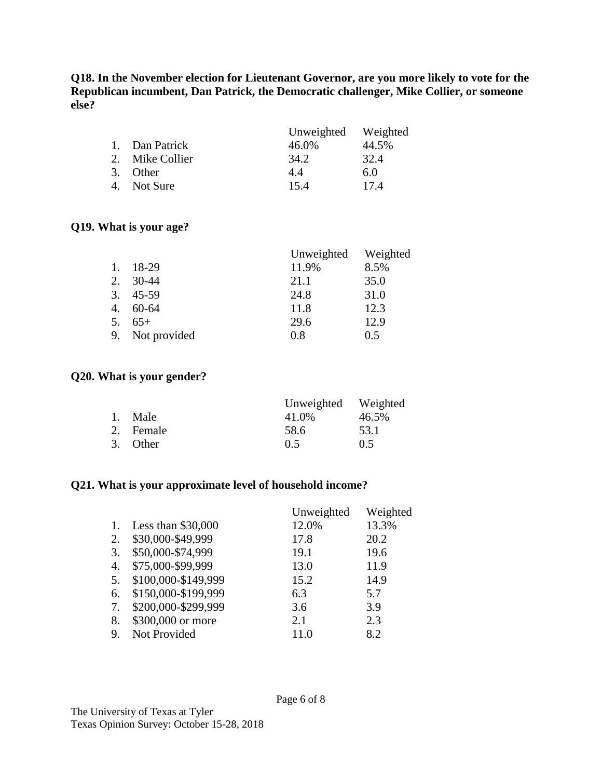**Q18. In the November election for Lieutenant Governor, are you more likely to vote for the Republican incumbent, Dan Patrick, the Democratic challenger, Mike Collier, or someone else?**

|    |                 | Unweighted Weighted |       |
|----|-----------------|---------------------|-------|
|    | 1. Dan Patrick  | 46.0%               | 44.5% |
|    | 2. Mike Collier | 34.2                | 32.4  |
| 3. | Other           | 4.4                 | 6.0   |
| 4. | Not Sure        | 15.4                | 17.4  |

#### **Q19. What is your age?**

|         |              | Unweighted | Weighted |
|---------|--------------|------------|----------|
| $1_{-}$ | 18-29        | 11.9%      | 8.5%     |
| 2.      | $30-44$      | 21.1       | 35.0     |
| 3.      | 45-59        | 24.8       | 31.0     |
| 4.      | $60 - 64$    | 11.8       | 12.3     |
| 5.      | $65+$        | 29.6       | 12.9     |
| 9.      | Not provided | 0.8        | 0.5      |

#### **Q20. What is your gender?**

|           | Unweighted Weighted |       |
|-----------|---------------------|-------|
| 1. Male   | 41.0%               | 46.5% |
| 2. Female | 58.6                | 53.1  |
| 3. Other  | 0.5                 | 0.5   |

### **Q21. What is your approximate level of household income?**

|    |                     | Unweighted | Weighted |
|----|---------------------|------------|----------|
| 1. | Less than $$30,000$ | 12.0%      | 13.3%    |
| 2. | \$30,000-\$49,999   | 17.8       | 20.2     |
| 3. | \$50,000-\$74,999   | 19.1       | 19.6     |
| 4. | \$75,000-\$99,999   | 13.0       | 11.9     |
| 5. | \$100,000-\$149,999 | 15.2       | 14.9     |
| 6. | \$150,000-\$199,999 | 6.3        | 5.7      |
| 7. | \$200,000-\$299,999 | 3.6        | 3.9      |
| 8. | \$300,000 or more   | 2.1        | 2.3      |
| 9. | Not Provided        | 11.0       | 8.2      |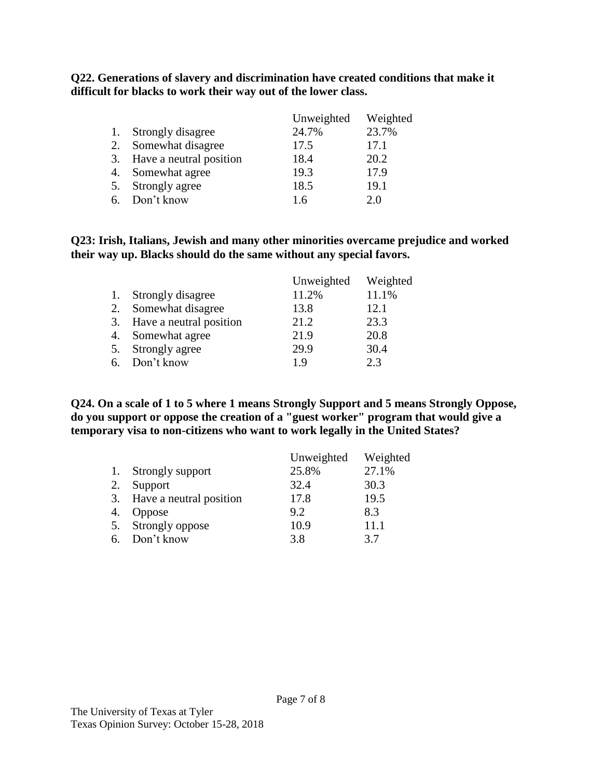**Q22. Generations of slavery and discrimination have created conditions that make it difficult for blacks to work their way out of the lower class.**

|    |                            | Unweighted | Weighted |
|----|----------------------------|------------|----------|
|    | Strongly disagree          | 24.7%      | 23.7%    |
| 2. | Somewhat disagree          | 17.5       | 17.1     |
|    | 3. Have a neutral position | 18.4       | 20.2     |
| 4. | Somewhat agree             | 19.3       | 17.9     |
| 5. | Strongly agree             | 18.5       | 19.1     |
| რ. | Don't know                 | 1.6        | 2.0      |

**Q23: Irish, Italians, Jewish and many other minorities overcame prejudice and worked their way up. Blacks should do the same without any special favors.**

|    |                            | Unweighted | Weighted |
|----|----------------------------|------------|----------|
|    | Strongly disagree          | 11.2%      | 11.1%    |
| 2. | Somewhat disagree          | 13.8       | 12.1     |
|    | 3. Have a neutral position | 21.2       | 23.3     |
| 4. | Somewhat agree             | 21.9       | 20.8     |
|    | 5. Strongly agree          | 29.9       | 30.4     |
|    | 6. Don't know              | 1 Q        | 23       |

**Q24. On a scale of 1 to 5 where 1 means Strongly Support and 5 means Strongly Oppose, do you support or oppose the creation of a "guest worker" program that would give a temporary visa to non-citizens who want to work legally in the United States?**

|    |                            | Unweighted | Weighted |
|----|----------------------------|------------|----------|
|    | 1. Strongly support        | 25.8%      | 27.1%    |
| 2. | Support                    | 32.4       | 30.3     |
|    | 3. Have a neutral position | 17.8       | 19.5     |
|    | 4. Oppose                  | 9.2        | 8.3      |
|    | 5. Strongly oppose         | 10.9       | 11.1     |
|    | 6. Don't know              | 3.8        | 37       |